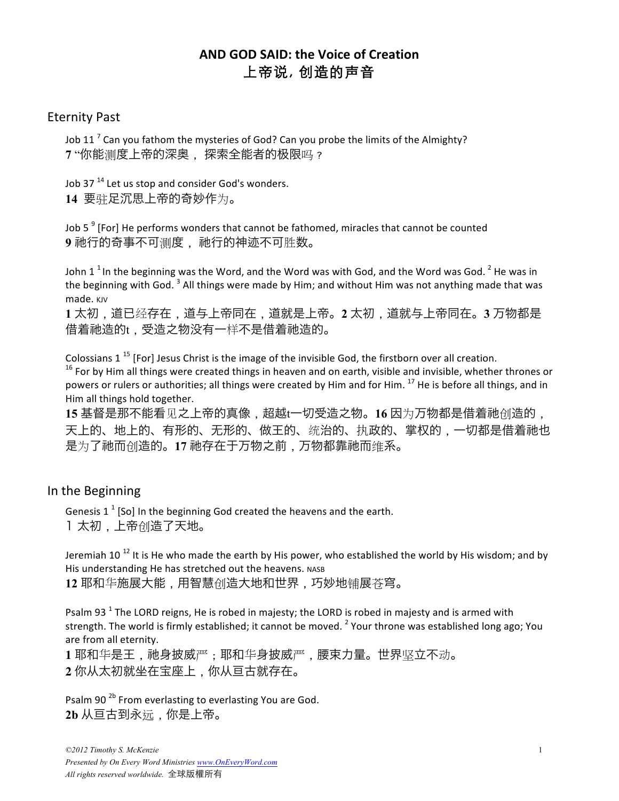# **AND GOD SAID: the Voice of Creation** 上帝说, 创造的声音

## Eternity Past

Job 11<sup>7</sup> Can you fathom the mysteries of God? Can you probe the limits of the Almighty? **7** "你能测度上帝的深奥, 探索全能者的䈀限吗?

Job 37 $^{14}$  Let us stop and consider God's wonders. 14 要驻足沉思上帝的奇妙作为。

Job  $5<sup>9</sup>$  [For] He performs wonders that cannot be fathomed, miracles that cannot be counted 9 祂行的奇事不可测度, 祂行的神迹不可胜数。

John 1<sup>1</sup> In the beginning was the Word, and the Word was with God, and the Word was God.<sup>2</sup> He was in the beginning with God.  $3$  All things were made by Him; and without Him was not anything made that was made. KJV

**1** 太初,道已经存在,道与上帝同在,道就是上帝。**2** 太初,道就与上帝同在。**3** 万物都是 借着祂造的t,受造之物没有一样不是借着祂造的。

Colossians  $1^{15}$  [For] Jesus Christ is the image of the invisible God, the firstborn over all creation.  $16$  For by Him all things were created things in heaven and on earth, visible and invisible, whether thrones or powers or rulers or authorities; all things were created by Him and for Him. <sup>17</sup> He is before all things, and in Him all things hold together.

15 基督是那不能看见之上帝的真像,超越t一切受造之物。16 因为万物都是借着祂创造的, 天上的、地上的、有形的、无形的、做王的、统治的、执政的、掌权的,一切都是借着祂也 是为了祂而创造的。17 祂存在于万物之前, 万物都靠祂而维系。

## In the Beginning

Genesis  $1^1$  [So] In the beginning God created the heavens and the earth. 1 太初,上帝创造了天地。

Jeremiah  $10^{-12}$  It is He who made the earth by His power, who established the world by His wisdom; and by His understanding He has stretched out the heavens. NASB

**12** 耶和华施展大能,用智慧创造大地和世界,巧妙地铺展苍穹。

Psalm 93<sup>1</sup> The LORD reigns, He is robed in majesty; the LORD is robed in majesty and is armed with strength. The world is firmly established; it cannot be moved.  $^2$  Your throne was established long ago; You are from all eternity.

1 耶和华是王, 祂身披威严; 耶和华身披威严, 腰束力量。世界坚立不动。 **2** 你从太初就坐在宝座上,你从亘古就存在。

Psalm 90<sup>2b</sup> From everlasting to everlasting You are God. **2b** 从亘古到永远,你是上帝。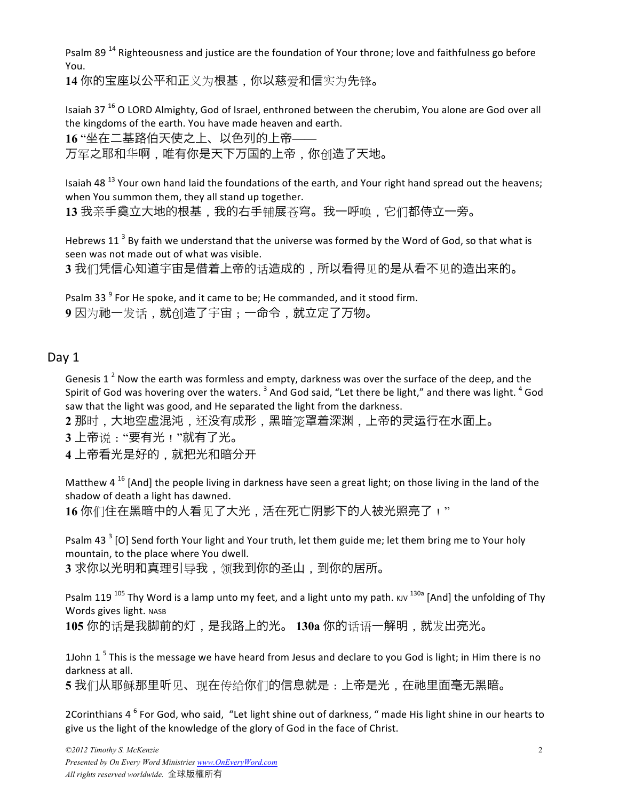Psalm 89<sup>14</sup> Righteousness and justice are the foundation of Your throne; love and faithfulness go before You.

**14** 你的宝座以公平和正义为根基,你以慈爱和信实为先锋。

Isaiah 37  $^{16}$  O LORD Almighty, God of Israel, enthroned between the cherubim, You alone are God over all the kingdoms of the earth. You have made heaven and earth.

**16** "坐在二基路伯天使之上、以色列的上帝——

万军之耶和华啊,唯有你是天下万国的上帝,你创造了天地。

Isaiah 48<sup>13</sup> Your own hand laid the foundations of the earth, and Your right hand spread out the heavens; when You summon them, they all stand up together.

**13** 我亲手奠立大地的根基,我的右手铺展苍穹。我一呼唤,它们都侍立一旁。

Hebrews  $11^3$  By faith we understand that the universe was formed by the Word of God, so that what is seen was not made out of what was visible.

**3** 我们凭信心知道宇宙是借着上帝的话造成的,所以看得见的是从看不见的造出来的。

Psalm 33<sup>9</sup> For He spoke, and it came to be; He commanded, and it stood firm. **9** 因为䲠一发话,就创造了宇宙;一命令,就立定了万物。

## Day 1

Genesis 1<sup>2</sup> Now the earth was formless and empty, darkness was over the surface of the deep, and the Spirit of God was hovering over the waters.  $3$  And God said, "Let there be light," and there was light.  $4$  God saw that the light was good, and He separated the light from the darkness.

**2** 那时,大地空虚混沌,还没有成形,黑暗笼罩着深渊,上帝的灵运行在水面上。

**3** 上帝说:"要有光!"就有了光。

**4** 上帝看光是好的,就把光和暗分开

Matthew  $4^{16}$  [And] the people living in darkness have seen a great light; on those living in the land of the shadow of death a light has dawned.

16 你们住在黑暗中的人看见了大光,活在死亡阴影下的人被光照亮了!"

Psalm 43<sup>3</sup> [O] Send forth Your light and Your truth, let them guide me; let them bring me to Your holy mountain, to the place where You dwell.

**3** 求你以光明和真理引导我,领我到你的圣山,到你的居所。

Psalm 119<sup>105</sup> Thy Word is a lamp unto my feet, and a light unto my path. KJV <sup>130a</sup> [And] the unfolding of Thy Words gives light. NASB

**105** 你的话是我脚前的灯,是我路上的光。 **130a** 你的话语一解明,就发出亮光。

1John 1<sup>5</sup> This is the message we have heard from Jesus and declare to you God is light; in Him there is no darkness at all.

5 我们从耶稣那里听见、现在传给你们的信息就是:上帝是光,在祂里面毫无黑暗。

2Corinthians  $4^6$  For God, who said, "Let light shine out of darkness, " made His light shine in our hearts to give us the light of the knowledge of the glory of God in the face of Christ.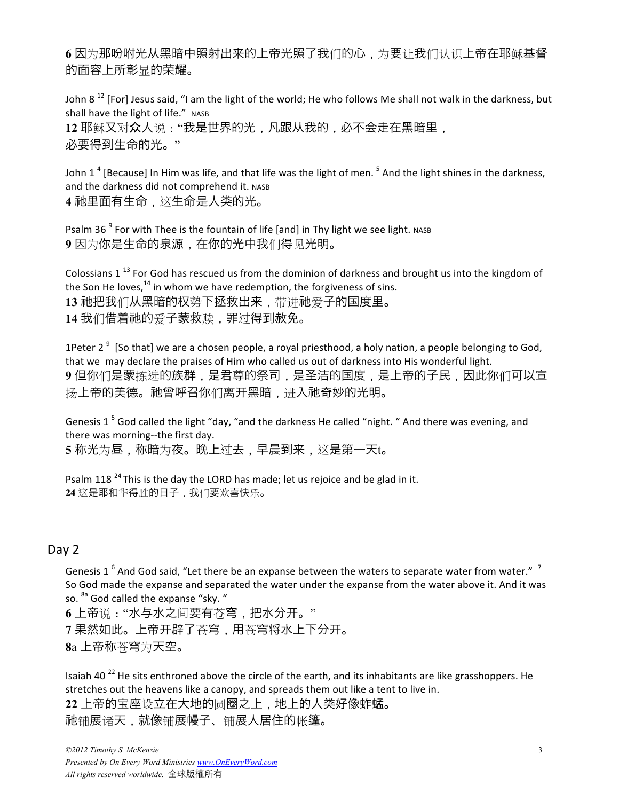**6** 因为那吩咐光从黑暗中照射出来的上帝光照了我们的心,为要让我们认识上帝在耶稣基督 的面容上所彰显的荣耀。

John 8<sup>12</sup> [For] Jesus said, "I am the light of the world; He who follows Me shall not walk in the darkness, but shall have the light of life." NASB 12 耶稣又对众人说:"我是世界的光,凡跟从我的,必不会走在黑暗里, 必要得到生命的光。"

John 1<sup>4</sup> [Because] In Him was life, and that life was the light of men.<sup>5</sup> And the light shines in the darkness, and the darkness did not comprehend it. NASB **4** 䲠里面有生命,这生命是人类的光。

Psalm 36<sup> $9$ </sup> For with Thee is the fountain of life [and] in Thy light we see light. NASB **9** 因为你是生命的泉源,在你的光中我们得见光明。

Colossians  $1^{13}$  For God has rescued us from the dominion of darkness and brought us into the kingdom of the Son He loves, $^{14}$  in whom we have redemption, the forgiveness of sins. 13 祂把我们从黑暗的权势下拯救出来,带进祂爱子的国度里。 **14** 我们借着䲠的爱子蒙救赎,罪过得到赦免。

1Peter 2<sup>9</sup> [So that] we are a chosen people, a royal priesthood, a holy nation, a people belonging to God, that we may declare the praises of Him who called us out of darkness into His wonderful light. **9** 但你们是蒙拣选的族群,是君尊的祭司,是圣洁的国度,是上帝的子民,因此你们可以宣 扬上帝的美德。祂曾呼召你们离开黑暗,进入祂奇妙的光明。

Genesis 1<sup>5</sup> God called the light "day, "and the darkness He called "night. " And there was evening, and there was morning--the first day.

**5** 称光为昼,称暗为夜。晩上过去,早晨到来,这是第一天t。

Psalm 118<sup>24</sup> This is the day the LORD has made; let us rejoice and be glad in it. **24** 这是耶和华得胜的日子,我们要欢喜快乐。

#### Day 2

Genesis 1<sup>6</sup> And God said, "Let there be an expanse between the waters to separate water from water." <sup>7</sup> So God made the expanse and separated the water under the expanse from the water above it. And it was so. <sup>8a</sup> God called the expanse "sky. "

6 上帝说: "水与水之间要有苍穹, 把水分开。" 7 果然如此。上帝开辟了苍穹, 用苍穹将水上下分开。 **8**a 上帝称苍穹为天空。

Isaiah 40<sup>22</sup> He sits enthroned above the circle of the earth, and its inhabitants are like grasshoppers. He stretches out the heavens like a canopy, and spreads them out like a tent to live in. 22 上帝的宝座设立在大地的圆圈之上,地上的人类好像蚱蜢。 䲠铺展诸天,就像铺展幔子、铺展人居住的帐篷。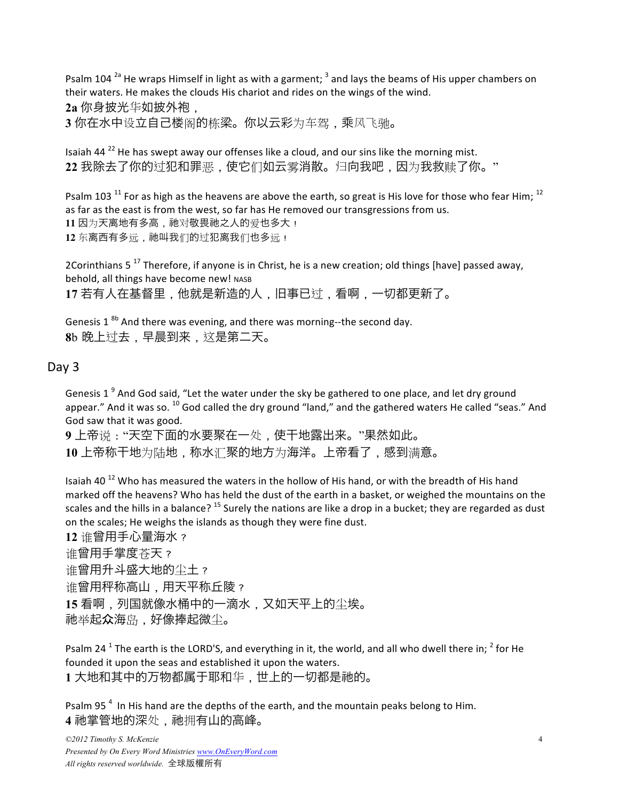Psalm 104<sup>2a</sup> He wraps Himself in light as with a garment;  $3$  and lays the beams of His upper chambers on their waters. He makes the clouds His chariot and rides on the wings of the wind. **2a** 你身披光华如披外袍,

**3** 你在水中设立自己楼阁的栋梁。你以云彩为车驾,乘风飞驰。

Isaiah 44 $^{22}$  He has swept away our offenses like a cloud, and our sins like the morning mist. **22** 我除去了你的过犯和罪恶,使它们如云雾消散。归向我吧,因为我救赎了你。"

Psalm 103<sup>11</sup> For as high as the heavens are above the earth, so great is His love for those who fear Him; <sup>12</sup> as far as the east is from the west, so far has He removed our transgressions from us. 11 因为天离地有多高, 祂对敬畏祂之人的爱也多大! 12 东离西有多远, 祂叫我们的过犯离我们也多远!

2Corinthians  $5^{17}$  Therefore, if anyone is in Christ, he is a new creation; old things [have] passed away, behold, all things have become new! NASB **17** 若有人在基督里,他就是新造的人,旧事已过,看啊,一切都更新了。

Genesis 1 $^{8b}$  And there was evening, and there was morning--the second day. **8**b 晩上过去,早晨到来,这是第二天。

## Day 3

Genesis 1 $^9$  And God said, "Let the water under the sky be gathered to one place, and let dry ground appear." And it was so.  $^{10}$  God called the dry ground "land," and the gathered waters He called "seas." And God saw that it was good.

9 上帝说: "天空下面的水要聚在一处, 使干地露出来。"果然如此。 **10** 上帝称干地为陆地,称水汇聚的地方为海洋。上帝看了,感到满意。

Isaiah 40<sup>12</sup> Who has measured the waters in the hollow of His hand, or with the breadth of His hand marked off the heavens? Who has held the dust of the earth in a basket, or weighed the mountains on the scales and the hills in a balance?  $^{15}$  Surely the nations are like a drop in a bucket; they are regarded as dust on the scales; He weighs the islands as though they were fine dust.

**12** 谁曾用手心量海水? 谁曾用手掌度苍天? 谁曾用升斗盛大地的尘土? 谁曾用秤称高山,用天平称丘陵? **15** 看啊,列国就像水桶中的一滴水,又如天平上的尘埃。 䲠举起众海岛,好像捧起微尘。

Psalm 24<sup>1</sup> The earth is the LORD'S, and everything in it, the world, and all who dwell there in; <sup>2</sup> for He founded it upon the seas and established it upon the waters. **1** 大地和其中的万物都属于耶和华,世上的一切都是䲠的。

Psalm 95<sup>4</sup> In His hand are the depths of the earth, and the mountain peaks belong to Him. 4 祂掌管地的深处, 祂拥有山的高峰。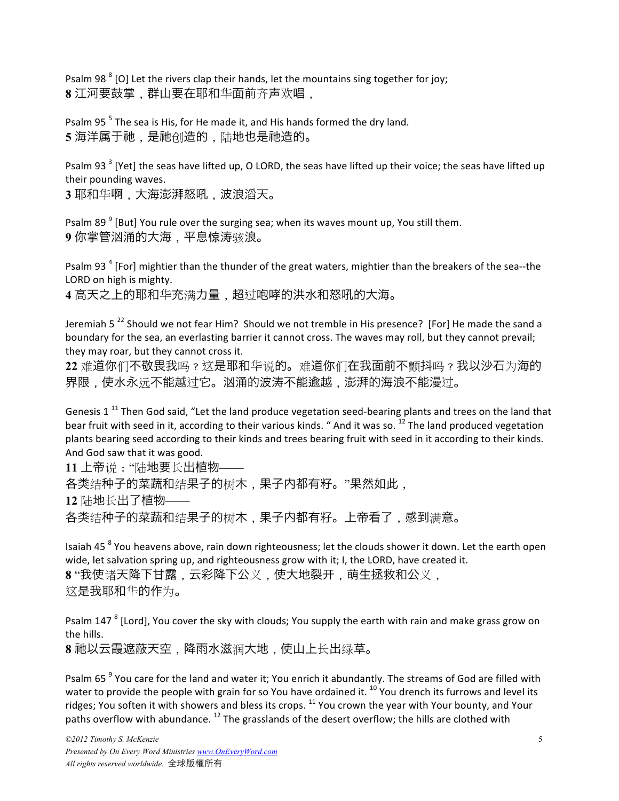Psalm 98 $<sup>8</sup>$  [O] Let the rivers clap their hands, let the mountains sing together for joy;</sup> **8** 江河要鼓掌,群山要在耶和华面前齐声欢唱,

Psalm  $95<sup>5</sup>$  The sea is His, for He made it, and His hands formed the dry land. 5 海洋属于祂,是祂创造的,陆地也是祂造的。

Psalm 93<sup>3</sup> [Yet] the seas have lifted up, O LORD, the seas have lifted up their voice; the seas have lifted up their pounding waves.

**3** 耶和华啊,大海澎湃怒吼,波浪滔天。

Psalm 89 $<sup>9</sup>$  [But] You rule over the surging sea; when its waves mount up, You still them.</sup> 9 你掌管汹涌的大海,平息惊涛骇浪。

Psalm 93<sup>4</sup> [For] mightier than the thunder of the great waters, mightier than the breakers of the sea--the LORD on high is mighty.

**4** 高天之上的耶和华充满力量,超过咆哮的洪水和怒吼的大海。

Jeremiah 5<sup>22</sup> Should we not fear Him? Should we not tremble in His presence? [For] He made the sand a boundary for the sea, an everlasting barrier it cannot cross. The waves may roll, but they cannot prevail; they may roar, but they cannot cross it.

**22** 难道你们不敬畏我吗?这是耶和华说的。难道你们在我面前不颤抖吗?我以沙石为海的 界限,使水永远不能越过它。䰠涌的波涛不能逾越,澎湃的海浪不能漫过。

Genesis 1<sup>11</sup> Then God said, "Let the land produce vegetation seed-bearing plants and trees on the land that bear fruit with seed in it, according to their various kinds. " And it was so.  $^{12}$  The land produced vegetation plants bearing seed according to their kinds and trees bearing fruit with seed in it according to their kinds. And God saw that it was good.

**11** 上帝说:"陆地要长出植物—— 各类结种子的菜蔬和结果子的树木,果子内都有籽。"果然如此, **12** 陆地长出了植物——

各类结种子的菜蔬和结果子的树木,果子内都有籽。上帝看了,感到满意。

Isaiah 45<sup>8</sup> You heavens above, rain down righteousness; let the clouds shower it down. Let the earth open wide, let salvation spring up, and righteousness grow with it; I, the LORD, have created it. **8** "我使诸天降下甘露,云彩降下公义,使大地裂䇖,萌生拯救和公义, 这是我耶和华的作为。

Psalm 147<sup>8</sup> [Lord], You cover the sky with clouds; You supply the earth with rain and make grass grow on the hills.

**8** 䲠以云霞遮蔽天空,降雨水滋润大地,使山上长出绿草。

Psalm 65<sup>9</sup> You care for the land and water it; You enrich it abundantly. The streams of God are filled with water to provide the people with grain for so You have ordained it. <sup>10</sup> You drench its furrows and level its ridges; You soften it with showers and bless its crops. <sup>11</sup> You crown the year with Your bounty, and Your paths overflow with abundance.  $^{12}$  The grasslands of the desert overflow; the hills are clothed with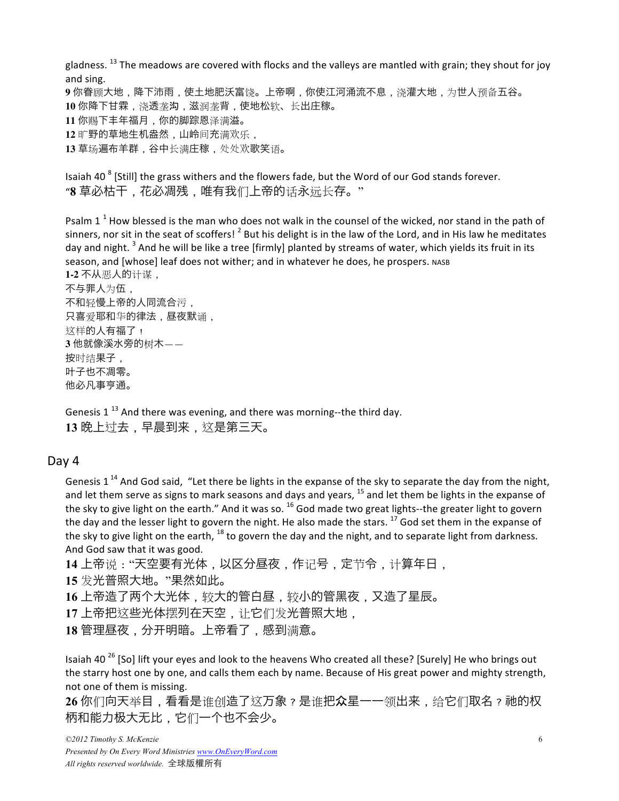gladness.  $^{13}$  The meadows are covered with flocks and the valleys are mantled with grain; they shout for joy and sing. 9 你眷顾大地,降下沛雨,使土地肥沃富饶。上帝啊,你使江河涌流不息,浇灌大地,为世人预备五谷。 **10** 你降下甘霖,浇透垄沟,滋润垄背,使地松软、长出庄稼。 **11** 你赐下丰年福月,你的脚踪恩泽满溢。 12 旷野的草地生机盎然,山岭间充满欢乐, **13** 草场遍布羊群,谷中长满庄稼,处处欢歌笑语。

Isaiah 40<sup>8</sup> [Still] the grass withers and the flowers fade, but the Word of our God stands forever. "**8** 草必枯干,花必凋残,唯有我们上帝的话永远长存。"

Psalm  $1^1$  How blessed is the man who does not walk in the counsel of the wicked, nor stand in the path of sinners, nor sit in the seat of scoffers!  $^2$  But his delight is in the law of the Lord, and in His law he meditates day and night. <sup>3</sup> And he will be like a tree [firmly] planted by streams of water, which yields its fruit in its season, and [whose] leaf does not wither; and in whatever he does, he prospers. NASB **1-2** 不从恶人的计谋,

不与罪人为伍, 不和轻慢上帝的人同流合污, 只喜爱耶和华的律法,昼夜默诵, 这样的人有福了! **3** 他就像溪水旁的树木—— 按时结果子, 叶子也不凋零。 他必凡事亨通。

Genesis 1<sup>13</sup> And there was evening, and there was morning--the third day. **13** 晩上过去,早晨到来,这是第三天。

#### Day 4

Genesis 1<sup>14</sup> And God said. "Let there be lights in the expanse of the sky to separate the day from the night, and let them serve as signs to mark seasons and days and years,  $^{15}$  and let them be lights in the expanse of the sky to give light on the earth." And it was so.  $^{16}$  God made two great lights--the greater light to govern the day and the lesser light to govern the night. He also made the stars.  $^{17}$  God set them in the expanse of the sky to give light on the earth,  $^{18}$  to govern the day and the night, and to separate light from darkness. And God saw that it was good.

**14** 上帝说:"天空要有光体,以区分昼夜,作记号,定节令,计算年日,

**15** 发光普照大地。"果然如此。

16 上帝造了两个大光体,较大的管白昼,较小的管黑夜,又造了星辰。

17 上帝把这些光体摆列在天空,让它们发光普照大地,

18 管理昼夜, 分开明暗。上帝看了, 感到满意。

Isaiah 40<sup>26</sup> [So] lift your eyes and look to the heavens Who created all these? [Surely] He who brings out the starry host one by one, and calls them each by name. Because of His great power and mighty strength, not one of them is missing.

26 你们向天举目,看看是谁创造了这万象?是谁把众星一一领出来,给它们取名? 祂的权 柄和能力䈀大无比,它们一个也不会少。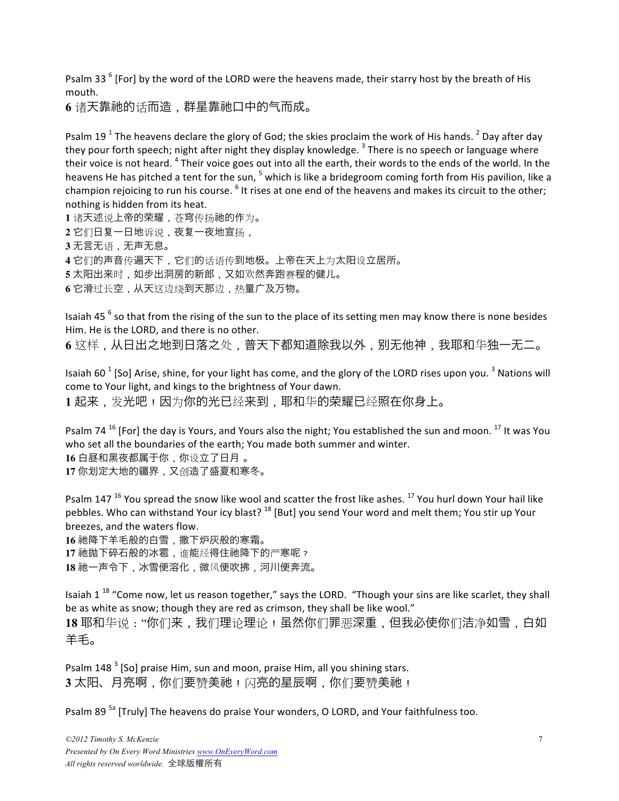Psalm 33<sup>6</sup> [For] by the word of the LORD were the heavens made, their starry host by the breath of His mouth.

**6** 诸天靠䲠的话而造,群星靠䲠口中的气而成。

Psalm 19<sup>1</sup> The heavens declare the glory of God; the skies proclaim the work of His hands. <sup>2</sup> Day after day they pour forth speech; night after night they display knowledge.<sup>3</sup> There is no speech or language where their voice is not heard. <sup>4</sup> Their voice goes out into all the earth, their words to the ends of the world. In the heavens He has pitched a tent for the sun, <sup>5</sup> which is like a bridegroom coming forth from His pavilion, like a champion rejoicing to run his course. <sup>6</sup> It rises at one end of the heavens and makes its circuit to the other; nothing is hidden from its heat.

1 诸天述说上帝的荣耀, 苍穹传扬祂的作为。 2 它们日复一日地诉说,夜复一夜地宣扬, **3** 无言无语,无声无息。 **4** 它们的声音传遍天下,它们的话语传到地䈀。上帝在天上为太䧈设立居所。 5 太阳出来时, 如步出洞房的新郎, 又如欢然奔跑赛程的健儿。 6<sup>它滑过长空,从天这边绕到天那边,热量广及万物。</sup>

Isaiah 45 $<sup>6</sup>$  so that from the rising of the sun to the place of its setting men may know there is none besides</sup> Him. He is the LORD, and there is no other.

6 这样,从日出之地到日落之处,普天下都知道除我以外,别无他神,我耶和华独一无二。

Isaiah 60<sup> $1$ </sup> [So] Arise, shine, for your light has come, and the glory of the LORD rises upon you.<sup>3</sup> Nations will come to Your light, and kings to the brightness of Your dawn. 1起来,发光吧!因为你的光已经来到,耶和华的荣耀已经照在你身上。

Psalm 74  $^{16}$  [For] the day is Yours, and Yours also the night; You established the sun and moon.  $^{17}$  It was You who set all the boundaries of the earth; You made both summer and winter. **16** 白昼和黑夜都属于你,你设立了日月 。 17 你划定大地的疆界,又创造了盛夏和寒冬。

Psalm 147<sup>16</sup> You spread the snow like wool and scatter the frost like ashes.<sup>17</sup> You hurl down Your hail like pebbles. Who can withstand Your icy blast? <sup>18</sup> [But] you send Your word and melt them; You stir up Your breezes, and the waters flow.

**16** 䲠降下羊毛般的白雪,撒下炉灰般的寒霜。 17 祂抛下碎石般的冰雹, 谁能经得住祂降下的严寒呢?

**18** 䲠一声令下,冰雪便溶化,微风便吹拂,河川便奔流。

Isaiah 1<sup>18</sup> "Come now, let us reason together," says the LORD. "Though your sins are like scarlet, they shall be as white as snow; though they are red as crimson, they shall be like wool." **18** 耶和华说:"你们来,我们理论理论!虽然你们罪恶深重,但我必使你们洁净如雪,白如

羊毛。

Psalm  $148<sup>3</sup>$  [So] praise Him, sun and moon, praise Him, all you shining stars. 3 太阳、月亮啊,你们要赞美祂!闪亮的星辰啊,你们要赞美祂!

Psalm 89<sup>5a</sup> [Truly] The heavens do praise Your wonders, O LORD, and Your faithfulness too.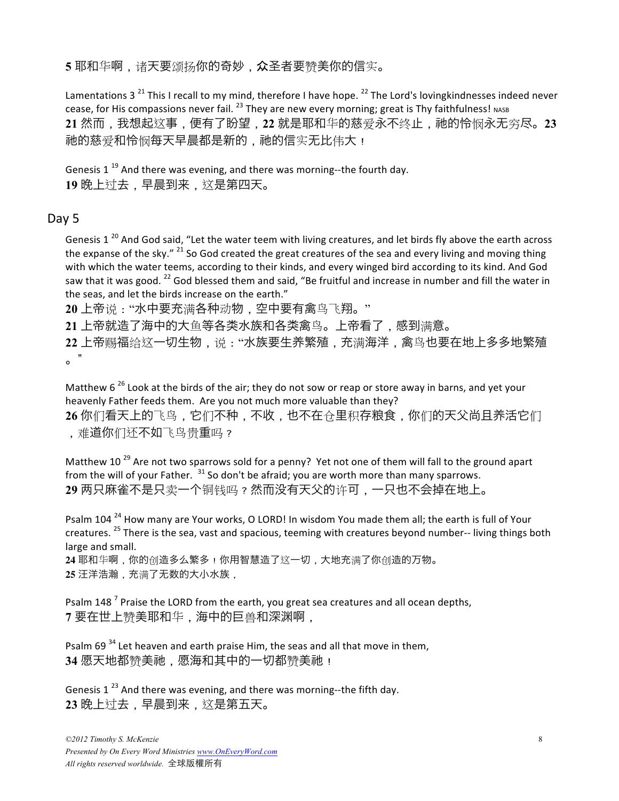5 耶和华啊,诸天要颂扬你的奇妙,众圣者要赞美你的信实。

Lamentations 3<sup>21</sup> This I recall to my mind, therefore I have hope.<sup>22</sup> The Lord's lovingkindnesses indeed never cease, for His compassions never fail.  $^{23}$  They are new every morning; great is Thy faithfulness! NASB 21 然而, 我想起这事, 便有了盼望, 22 就是耶和华的慈爱永不终止, 祂的怜悯永无穷尽。23 祂的慈爱和怜悯每天早晨都是新的,祂的信实无比伟大!

Genesis 1<sup>19</sup> And there was evening, and there was morning--the fourth day. 19 晚上过去, 早晨到来, 这是第四天。

#### Day 5

Genesis 1<sup>20</sup> And God said, "Let the water teem with living creatures, and let birds fly above the earth across the expanse of the sky."  $^{21}$  So God created the great creatures of the sea and every living and moving thing with which the water teems, according to their kinds, and every winged bird according to its kind. And God saw that it was good.  $^{22}$  God blessed them and said, "Be fruitful and increase in number and fill the water in the seas, and let the birds increase on the earth."

**20** 上帝说:"水中要充满各种动物,空中要有禽鸟飞翔。"

**21** 上帝就造了海中的大鱼等各类水族和各类禽鸟。上帝看了,感到满意。

22 上帝赐福给这一切生物,说:"水族要生养繁殖,充满海洋,禽鸟也要在地上多多地繁殖 。"

Matthew  $6^{26}$  Look at the birds of the air; they do not sow or reap or store away in barns, and yet your heavenly Father feeds them. Are you not much more valuable than they?

26 你们看天上的飞鸟,它们不种,不收,也不在仓里积存粮食,你们的天父尚且养活它们 ,难道你们还不如飞鸟贵重吗?

Matthew 10<sup>29</sup> Are not two sparrows sold for a penny? Yet not one of them will fall to the ground apart from the will of your Father.  $31$  So don't be afraid; you are worth more than many sparrows. **29** 䫆只麻雀不是只卖一个铜钱吗?然而没有天父的许可,一只也不会掉在地上。

Psalm 104<sup>24</sup> How many are Your works, O LORD! In wisdom You made them all; the earth is full of Your creatures.<sup>25</sup> There is the sea, vast and spacious, teeming with creatures beyond number-- living things both large and small.

**24** 耶和华啊,你的创造多么繁多!你用智慧造了这一切,大地充满了你创造的万物。 **25** 汪洋浩瀚,充满了无数的大小水族,

Psalm  $148<sup>7</sup>$  Praise the LORD from the earth, you great sea creatures and all ocean depths, **7** 要在世上赞美耶和华,海中的巨兽和深渊啊,

Psalm 69  $34$  Let heaven and earth praise Him, the seas and all that move in them, 34 愿天地都赞美祂,愿海和其中的一切都赞美祂!

Genesis 1 $^{23}$  And there was evening, and there was morning--the fifth day. **23** 晩上过去,早晨到来,这是第五天。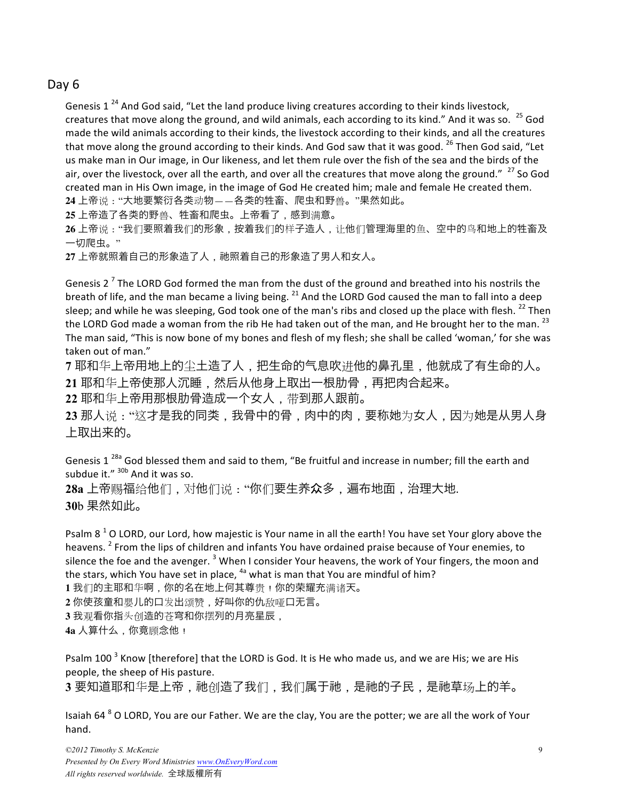## Day 6

Genesis 1<sup>24</sup> And God said, "Let the land produce living creatures according to their kinds livestock, creatures that move along the ground, and wild animals, each according to its kind." And it was so.  $^{25}$  God made the wild animals according to their kinds, the livestock according to their kinds, and all the creatures that move along the ground according to their kinds. And God saw that it was good. <sup>26</sup> Then God said, "Let us make man in Our image, in Our likeness, and let them rule over the fish of the sea and the birds of the air, over the livestock, over all the earth, and over all the creatures that move along the ground." <sup>27</sup> So God created man in His Own image, in the image of God He created him; male and female He created them. **24** 上帝说:"大地要繁衍各类动物——各类的牲畜、爬虫和野兽。"果然如此。

**25** 上帝造了各类的野兽、牲畜和爬虫。上帝看了,感到满意。

**26** 上帝说:"我们要照着我们的形象,按着我们的样子造人,让他们管理海里的鱼、空中的鸟和地上的牲畜及 一切爬虫。"

27 上帝就照着自己的形象造了人, 祂照着自己的形象造了男人和女人。

Genesis 2<sup>7</sup> The LORD God formed the man from the dust of the ground and breathed into his nostrils the breath of life, and the man became a living being. <sup>21</sup> And the LORD God caused the man to fall into a deep sleep; and while he was sleeping, God took one of the man's ribs and closed up the place with flesh.  $^{22}$  Then the LORD God made a woman from the rib He had taken out of the man, and He brought her to the man.  $^{23}$ The man said, "This is now bone of my bones and flesh of my flesh; she shall be called 'woman,' for she was taken out of man."

**7** 耶和华上帝用地上的尘土造了人,把生命的气息吹进他的鼻孔里,他就成了有生命的人。 **21** 耶和华上帝使那人䗻睡,然后从他身上取出一根肋骨,再把肉合起来。

**22** 耶和华上帝用那根肋骨造成一个女人,带到那人跟前。

**23** 那人说:"这才是我的同类,我骨中的骨,肉中的肉,要称䭪为女人,因为䭪是从男人身 上取出来的。

Genesis 1  $^{28a}$  God blessed them and said to them, "Be fruitful and increase in number; fill the earth and subdue it."  $30b$  And it was so.

28a 上帝赐福给他们, 对他们说: "你们要生养众多, 遍布地面, 治理大地. **30**b 果然如此。

Psalm  $8^1$  O LORD, our Lord, how majestic is Your name in all the earth! You have set Your glory above the heavens. <sup>2</sup> From the lips of children and infants You have ordained praise because of Your enemies, to silence the foe and the avenger.  $3$  When I consider Your heavens, the work of Your fingers, the moon and the stars, which You have set in place,  $4a$  what is man that You are mindful of him?

1 我们的主耶和华啊,你的名在地上何其尊贵!你的荣耀充满诸天。

**2** 你使孩童和婴儿的口发出颂赞,好叫你的仇敌哑口无言。

**3** 我观看你指头创造的苍穹和你摆列的月亮星辰,

**4a** 人算什么,你竟顾念他!

Psalm 100<sup>3</sup> Know [therefore] that the LORD is God. It is He who made us, and we are His; we are His people, the sheep of His pasture.

3 要知道耶和华是上帝, 祂创造了我们, 我们属于祂, 是祂的子民, 是祂草场上的羊。

Isaiah 64  $8$  O LORD, You are our Father. We are the clay, You are the potter; we are all the work of Your hand.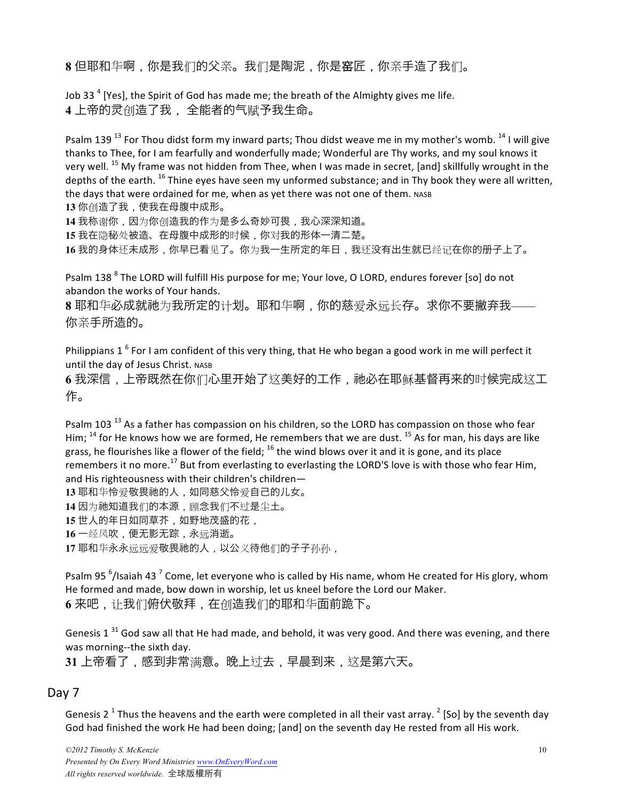**8** 但耶和华啊,你是我们的父亲。我们是陶泥,你是窑匠,你亲手造了我们。

Job 33<sup>4</sup> [Yes], the Spirit of God has made me; the breath of the Almighty gives me life. 4 上帝的灵创造了我 ,全能者的气赋予我生命。

Psalm 139<sup>13</sup> For Thou didst form my inward parts; Thou didst weave me in my mother's womb.<sup>14</sup> I will give thanks to Thee, for I am fearfully and wonderfully made; Wonderful are Thy works, and my soul knows it very well. <sup>15</sup> My frame was not hidden from Thee, when I was made in secret, [and] skillfully wrought in the depths of the earth.  $^{16}$  Thine eyes have seen my unformed substance; and in Thy book they were all written, the days that were ordained for me, when as yet there was not one of them. NASB

**13** 你创造了我,使我在母腹中成形。

14 我称谢你,因为你创造我的作为是多么奇妙可畏,我心深深知道。

**15** 我在隐秘处被造、在母腹中成形的时候,你对我的形体一清二楚。

**16** 我的身体还未成形,你早已看见了。你为我一生所定的年日,我还没有出生就已经记在你的册子上了。

Psalm 138<sup>8</sup> The LORD will fulfill His purpose for me; Your love, O LORD, endures forever [so] do not abandon the works of Your hands.

8 耶和华必成就祂为我所定的计划。耶和华啊,你的慈爱永远长存。求你不要撇弃我-你亲手所造的。

Philippians  $1^6$  For I am confident of this very thing, that He who began a good work in me will perfect it until the day of Jesus Christ. NASB

6 我深信,上帝既然在你们心里开始了这美好的工作,祂必在耶稣基督再来的时候完成这工 作。

Psalm 103<sup>13</sup> As a father has compassion on his children, so the LORD has compassion on those who fear Him;  $^{14}$  for He knows how we are formed, He remembers that we are dust.  $^{15}$  As for man, his days are like grass, he flourishes like a flower of the field;  $^{16}$  the wind blows over it and it is gone, and its place remembers it no more.<sup>17</sup> But from everlasting to everlasting the LORD'S love is with those who fear Him, and His righteousness with their children's children-**13** 耶和华怜爱敬畏䲠的人,如同慈父怜爱自己的儿女。 **14** 因为䲠知道我们的本源,顾念我们不过是尘土。 **15** 世人的年日如同草芥,如野地茂盛的花, **16** 一经风吹,便无影无踪,永远消逝。 **17** 耶和华永永远远爱敬畏䲠的人,以公义待他们的子子孙孙,

Psalm 95  $^6$ /Isaiah 43  $^7$  Come, let everyone who is called by His name, whom He created for His glory, whom He formed and made, bow down in worship, let us kneel before the Lord our Maker. **6** 来吧,让我们俯伏敬拜,在创造我们的耶和华面前跪下。

Genesis 1  $31$  God saw all that He had made, and behold, it was very good. And there was evening, and there was morning--the sixth day.

**31** 上帝看了,感到非常满意。晩上过去,早晨到来,这是第六天。

#### Day 7

Genesis 2<sup>1</sup> Thus the heavens and the earth were completed in all their vast array.<sup>2</sup> [So] by the seventh day God had finished the work He had been doing; [and] on the seventh day He rested from all His work.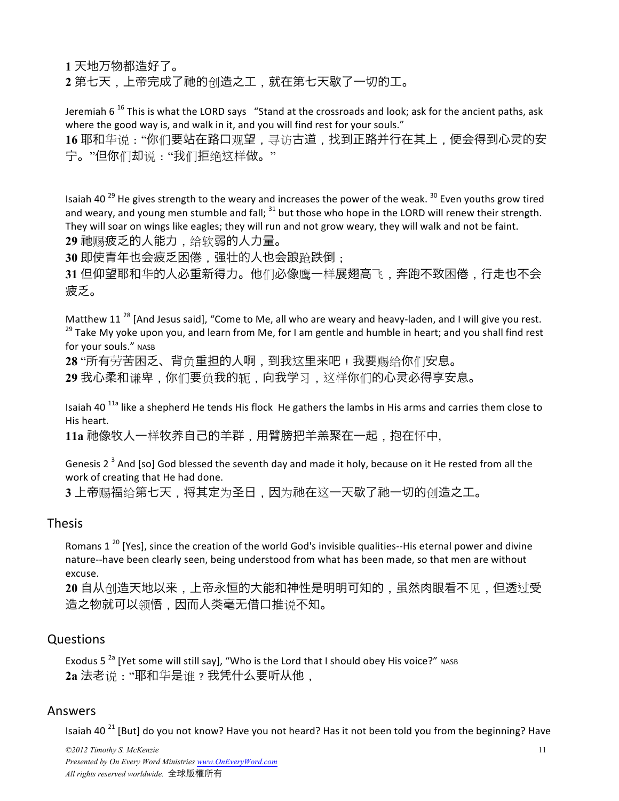**1** 天地万物都造好了。

**2** 第七天,上帝完成了䲠的创造之工,就在第七天歇了一切的工。

Jeremiah  $6^{16}$  This is what the LORD says "Stand at the crossroads and look; ask for the ancient paths, ask where the good way is, and walk in it, and you will find rest for your souls."

16 耶和华说: "你们要站在路口观望, 寻访古道, 找到正路并行在其上, 便会得到心灵的安 宁。"但你们却说:"我们拒绝这样做。"

Isaiah 40<sup>29</sup> He gives strength to the weary and increases the power of the weak.<sup>30</sup> Even youths grow tired and weary, and young men stumble and fall;  $31$  but those who hope in the LORD will renew their strength. They will soar on wings like eagles; they will run and not grow weary, they will walk and not be faint. **29** 䲠赐疲乏的人能力,给软弱的人力量。

**30** 即使青年也会疲乏困倦,强壮的人也会踉跄跌倒;

**31** 但仰望耶和华的人必重新得力。他们必像鹰一样展翅高飞,奔䋯不致困倦,行走也不会 疲乏。

Matthew 11 $^{28}$  [And Jesus said], "Come to Me, all who are weary and heavy-laden, and I will give you rest. <sup>29</sup> Take My yoke upon you, and learn from Me, for I am gentle and humble in heart; and you shall find rest for your souls." NASB

28 "所有劳苦困乏、背负重担的人啊,到我这里来吧!我要赐给你们安息。

**29** 我心柔和谦卑,你们要负我的轭,向我学习,这样你们的心䈻必得享安息。

Isaiah 40<sup> $11a$ </sup> like a shepherd He tends His flock  $\overline{A}$  He gathers the lambs in His arms and carries them close to His heart.

11a 祂像牧人一样牧养自己的羊群,用臂膀把羊羔聚在一起,抱在怀中,

Genesis 2<sup>3</sup> And [so] God blessed the seventh day and made it holy, because on it He rested from all the work of creating that He had done.

**3** 上帝赐福给第七天,将其定为圣日,因为䲠在这一天歇了䲠一切的创造之工。

#### Thesis

Romans  $1^{20}$  [Yes], since the creation of the world God's invisible qualities--His eternal power and divine nature--have been clearly seen, being understood from what has been made, so that men are without excuse.

**20** 自从创造天地以来,上帝永恒的大能和神性是明明可知的,虽然肉眼看不见,但透过受 造之物就可以领悟,因而人类毫无借口推说不知。

#### Questions

Exodus 5<sup>2a</sup> [Yet some will still say], "Who is the Lord that I should obey His voice?" NASB 2a 法老说: "耶和华是谁 ? 我凭什么要听从他,

#### Answers

Isaiah 40<sup>21</sup> [But] do you not know? Have you not heard? Has it not been told you from the beginning? Have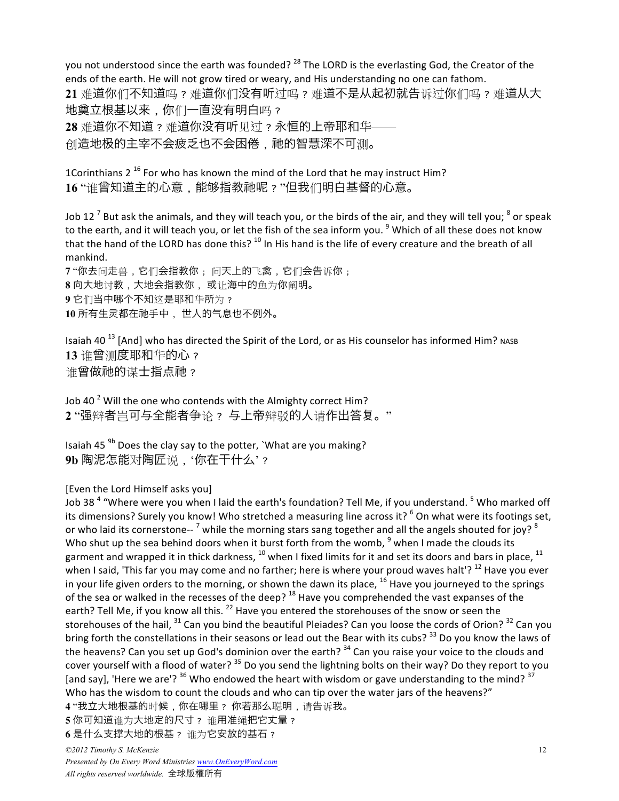you not understood since the earth was founded? <sup>28</sup> The LORD is the everlasting God, the Creator of the ends of the earth. He will not grow tired or weary, and His understanding no one can fathom. **21** 难道你们不知道吗?难道你们没有听过吗?难道不是从起初就告诉过你们吗?难道从大 地奠立根基以来,你们一直没有明白吗? **28** 难道你不知道?难道你没有听见过?永恒的上帝耶和华—— 创造地极的主宰不会疲乏也不会困倦,祂的智慧深不可测。

1Corinthians  $2^{16}$  For who has known the mind of the Lord that he may instruct Him? 16 "谁曾知道主的心意, 能够指教祂呢?"但我们明白基督的心意。

Job 12<sup>7</sup> But ask the animals, and they will teach you, or the birds of the air, and they will tell you;  $^8$  or speak to the earth, and it will teach you, or let the fish of the sea inform you. <sup>9</sup> Which of all these does not know that the hand of the LORD has done this?  $^{10}$  In His hand is the life of every creature and the breath of all mankind.

 "你去问走兽,它们会指教你; 问天上的飞禽,它们会告诉你; 向大地讨教,大地会指教你, 或让海中的鱼为你阐明。 它们当中䬟个不知这是耶和华所为? 所有生䈻都在䲠手中, 世人的气息也不例外。

Isaiah 40<sup>13</sup> [And] who has directed the Spirit of the Lord, or as His counselor has informed Him? NASB **13** 谁曾测度耶和华的心? 谁曾做祂的谋士指点祂?

Job 40<sup> $2$ </sup> Will the one who contends with the Almighty correct Him? **2** "强辩者岂可与全能者争论? 与上帝辩驳的人请作出答䐾。"

Isaiah 45 $^{9b}$  Does the clay say to the potter, `What are you making? **9b** 陶泥怎能对陶匠说,'你在干什么'?

[Even the Lord Himself asks you]

Job 38<sup>4</sup> "Where were you when I laid the earth's foundation? Tell Me, if you understand. <sup>5</sup> Who marked off its dimensions? Surely you know! Who stretched a measuring line across it? <sup>6</sup> On what were its footings set, or who laid its cornerstone-- <sup>7</sup> while the morning stars sang together and all the angels shouted for joy? <sup>8</sup> Who shut up the sea behind doors when it burst forth from the womb,  $9$  when I made the clouds its garment and wrapped it in thick darkness,  $^{10}$  when I fixed limits for it and set its doors and bars in place,  $^{11}$ when I said, 'This far you may come and no farther; here is where your proud waves halt'?<sup>12</sup> Have you ever in your life given orders to the morning, or shown the dawn its place,  $^{16}$  Have you journeyed to the springs of the sea or walked in the recesses of the deep?  $^{18}$  Have you comprehended the vast expanses of the earth? Tell Me, if you know all this. <sup>22</sup> Have you entered the storehouses of the snow or seen the storehouses of the hail, <sup>31</sup> Can you bind the beautiful Pleiades? Can you loose the cords of Orion? <sup>32</sup> Can you bring forth the constellations in their seasons or lead out the Bear with its cubs?  $^{33}$  Do you know the laws of the heavens? Can you set up God's dominion over the earth?  $34$  Can you raise your voice to the clouds and cover yourself with a flood of water?  $35$  Do you send the lightning bolts on their way? Do they report to you [and say], 'Here we are'?  $36$  Who endowed the heart with wisdom or gave understanding to the mind?  $37$ Who has the wisdom to count the clouds and who can tip over the water jars of the heavens?" **4** "我立大地根基的时候,你在䬟里? 你若那么聪明,请告诉我。 5 你可知道谁为大地定的尺寸? 谁用准绳把它丈量?

**6** 是什么支䔨大地的根基? 谁为它安放的基石?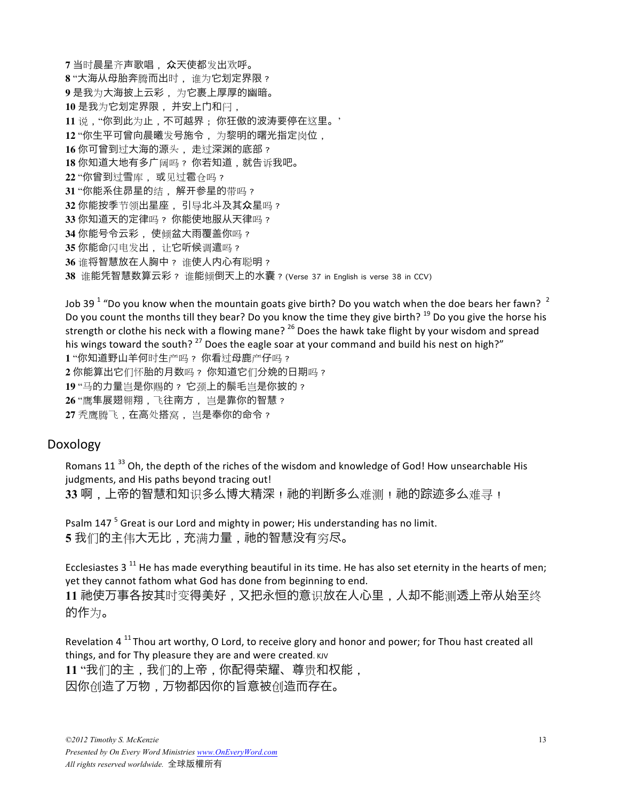当时晨星齐声歌唱, 众天使都发出欢呼。 "大海从母胎奔腾而出时, 谁为它䎞定界限? 是我为大海披上云彩, 为它裹上厚厚的幽暗。 是我为它䎞定界限, 并安上門和闩, 说,"你到此为止,不可越界; 你狂傲的波涛要停在这里。' "你生平可曾向晨曦发号施令, 为黎明的曙光指定岗位, 你可曾到过大海的源头, 走过深渊的底部? 你知道大地有多广阔吗? 你若知道,就告诉我吧。 "你曾到过雪库, 或见过雹仓吗? "你能系住昴星的结, 解䇖参星的带吗? 你能按季节领出星座, 引导北斗及其众星吗? 你知道天的定律吗? 你能使地服从天律吗? 你能号令云彩, 使倾盆大雨覆盖你吗? 你能命闪电发出, 让它听候调遣吗? 谁将智慧放在人胸中? 谁使人内心有聪明? 谁能凭智慧数算云彩? 谁能倾倒天上的水囊?(Verse 37 in English is verse 38 in CCV)

Job 39  $^1$  "Do you know when the mountain goats give birth? Do you watch when the doe bears her fawn?  $^2$ Do you count the months till they bear? Do you know the time they give birth?  $^{19}$  Do you give the horse his strength or clothe his neck with a flowing mane? <sup>26</sup> Does the hawk take flight by your wisdom and spread his wings toward the south?  $^{27}$  Does the eagle soar at your command and build his nest on high?" **1** "你知道野山羊何时生产吗? 你看过母鹿产仔吗? **2** 你能算出它们怀胎的月数吗? 你知道它们分娩的日期吗? **19** "马的力量岂是你赐的? 它颈上的鬃毛岂是你披的? **26** "鹰隼展翅翱翔,飞往南方, 岂是靠你的智慧? **27** 秃鹰腾飞,在高处搭窝, 岂是奉你的命令?

#### Doxology

Romans 11 $^{33}$  Oh, the depth of the riches of the wisdom and knowledge of God! How unsearchable His judgments, and His paths beyond tracing out! 33 啊, 上帝的智慧和知识多么博大精深! 祂的判断多么难测! 祂的踪迹多么难寻!

Psalm 147<sup>5</sup> Great is our Lord and mighty in power; His understanding has no limit. 5 我们的主伟大无比, 充满力量, 祂的智慧没有穷尽。

Ecclesiastes 3<sup>11</sup> He has made everything beautiful in its time. He has also set eternity in the hearts of men; yet they cannot fathom what God has done from beginning to end. **11** 䲠使万事各按其时变得美好,又把永恒的意识放在人心里,人却不能测透上帝从始至终 的作为。

Revelation  $4^{11}$  Thou art worthy, O Lord, to receive glory and honor and power; for Thou hast created all things, and for Thy pleasure they are and were created. KJV 11 "我们的主,我们的上帝,你配得荣耀、尊贵和权能, 因你创造了万物,万物都因你的旨意被创造而存在。